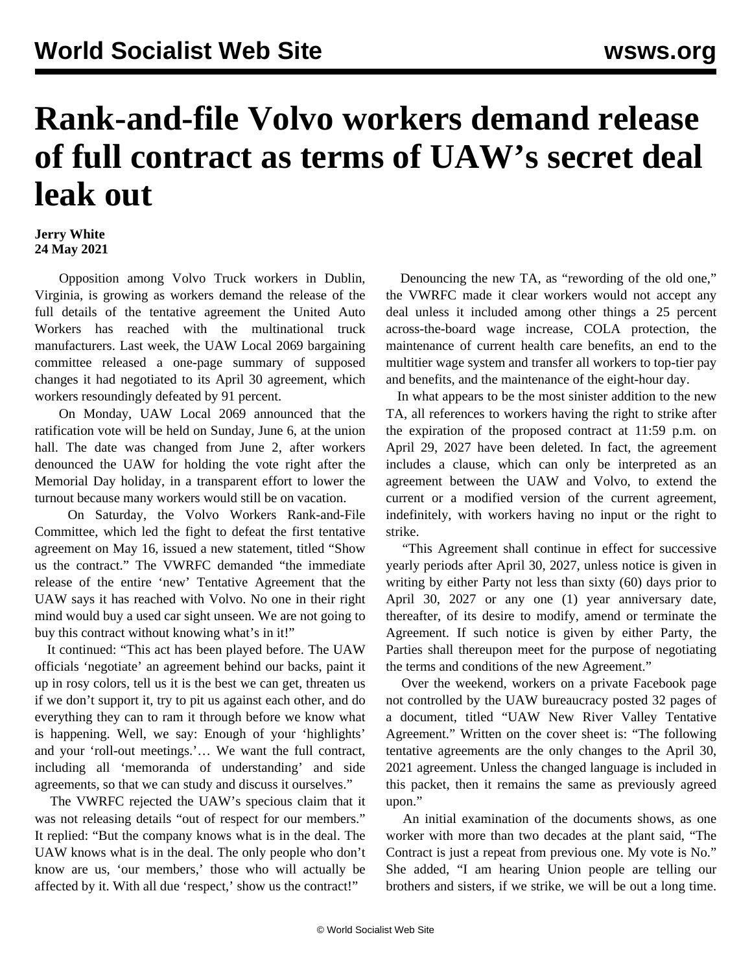## **Rank-and-file Volvo workers demand release of full contract as terms of UAW's secret deal leak out**

## **Jerry White 24 May 2021**

 Opposition among Volvo Truck workers in Dublin, Virginia, is growing as workers demand the release of the full details of the tentative agreement the United Auto Workers has reached with the multinational truck manufacturers. Last week, the UAW Local 2069 bargaining committee released a one-page summary of supposed changes it had negotiated to its April 30 agreement, which workers resoundingly defeated by 91 percent.

 On Monday, UAW Local 2069 announced that the ratification vote will be held on Sunday, June 6, at the union hall. The date was changed from June 2, after workers denounced the UAW for holding the vote right after the Memorial Day holiday, in a transparent effort to lower the turnout because many workers would still be on vacation.

 On Saturday, the Volvo Workers Rank-and-File Committee, which led the fight to defeat the first tentative agreement on May 16, issued a new statement, titled "Show us the contract." The VWRFC demanded "the immediate release of the entire 'new' Tentative Agreement that the UAW says it has reached with Volvo. No one in their right mind would buy a used car sight unseen. We are not going to buy this contract without knowing what's in it!"

 It continued: "This act has been played before. The UAW officials 'negotiate' an agreement behind our backs, paint it up in rosy colors, tell us it is the best we can get, threaten us if we don't support it, try to pit us against each other, and do everything they can to ram it through before we know what is happening. Well, we say: Enough of your 'highlights' and your 'roll-out meetings.'… We want the full contract, including all 'memoranda of understanding' and side agreements, so that we can study and discuss it ourselves."

 The VWRFC rejected the UAW's specious claim that it was not releasing details "out of respect for our members." It replied: "But the company knows what is in the deal. The UAW knows what is in the deal. The only people who don't know are us, 'our members,' those who will actually be affected by it. With all due 'respect,' show us the contract!"

Denouncing the new TA, as "rewording of the old one," the VWRFC made it clear workers would not accept any deal unless it included among other things a 25 percent across-the-board wage increase, COLA protection, the maintenance of current health care benefits, an end to the multitier wage system and transfer all workers to top-tier pay and benefits, and the maintenance of the eight-hour day.

 In what appears to be the most sinister addition to the new TA, all references to workers having the right to strike after the expiration of the proposed contract at 11:59 p.m. on April 29, 2027 have been deleted. In fact, the agreement includes a clause, which can only be interpreted as an agreement between the UAW and Volvo, to extend the current or a modified version of the current agreement, indefinitely, with workers having no input or the right to strike.

 "This Agreement shall continue in effect for successive yearly periods after April 30, 2027, unless notice is given in writing by either Party not less than sixty (60) days prior to April 30, 2027 or any one (1) year anniversary date, thereafter, of its desire to modify, amend or terminate the Agreement. If such notice is given by either Party, the Parties shall thereupon meet for the purpose of negotiating the terms and conditions of the new Agreement."

 Over the weekend, workers on a private Facebook page not controlled by the UAW bureaucracy posted 32 pages of a document, titled "UAW New River Valley Tentative Agreement." Written on the cover sheet is: "The following tentative agreements are the only changes to the April 30, 2021 agreement. Unless the changed language is included in this packet, then it remains the same as previously agreed upon."

 An initial examination of the documents shows, as one worker with more than two decades at the plant said, "The Contract is just a repeat from previous one. My vote is No." She added, "I am hearing Union people are telling our brothers and sisters, if we strike, we will be out a long time.